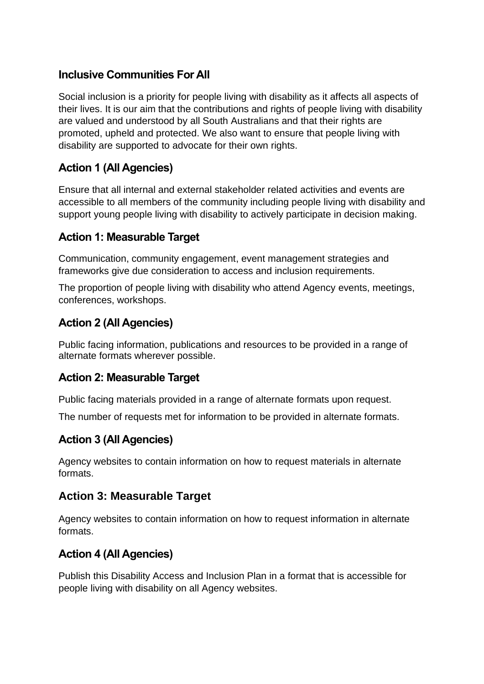## **Inclusive Communities For All**

Social inclusion is a priority for people living with disability as it affects all aspects of their lives. It is our aim that the contributions and rights of people living with disability are valued and understood by all South Australians and that their rights are promoted, upheld and protected. We also want to ensure that people living with disability are supported to advocate for their own rights.

# **Action 1 (All Agencies)**

Ensure that all internal and external stakeholder related activities and events are accessible to all members of the community including people living with disability and support young people living with disability to actively participate in decision making.

## **Action 1: Measurable Target**

Communication, community engagement, event management strategies and frameworks give due consideration to access and inclusion requirements.

The proportion of people living with disability who attend Agency events, meetings, conferences, workshops.

## **Action 2 (All Agencies)**

Public facing information, publications and resources to be provided in a range of alternate formats wherever possible.

## **Action 2: Measurable Target**

Public facing materials provided in a range of alternate formats upon request.

The number of requests met for information to be provided in alternate formats.

## **Action 3 (All Agencies)**

Agency websites to contain information on how to request materials in alternate formats.

## **Action 3: Measurable Target**

Agency websites to contain information on how to request information in alternate formats.

## **Action 4 (All Agencies)**

Publish this Disability Access and Inclusion Plan in a format that is accessible for people living with disability on all Agency websites.